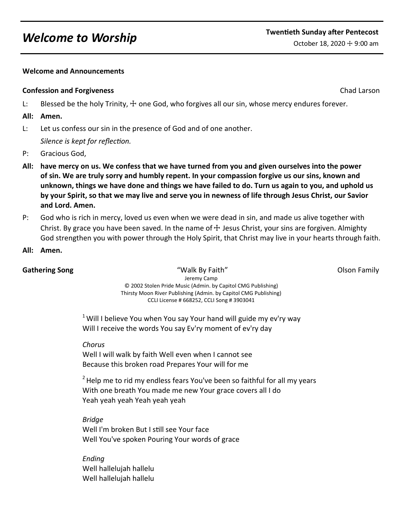## **Welcome and Announcements**

#### **Confession and Forgiveness** Chad Larson Chad Larson Chad Larson Chad Larson Chad Larson Chad Larson Chad Larson

L: Blessed be the holy Trinity,  $\pm$  one God, who forgives all our sin, whose mercy endures forever.

#### **All: Amen.**

L: Let us confess our sin in the presence of God and of one another.

*Silence is kept for reflection.*

- P: Gracious God,
- **All: have mercy on us. We confess that we have turned from you and given ourselves into the power of sin. We are truly sorry and humbly repent. In your compassion forgive us our sins, known and unknown, things we have done and things we have failed to do. Turn us again to you, and uphold us by your Spirit, so that we may live and serve you in newness of life through Jesus Christ, our Savior and Lord. Amen.**
- P: God who is rich in mercy, loved us even when we were dead in sin, and made us alive together with Christ. By grace you have been saved. In the name of  $\pm$  Jesus Christ, your sins are forgiven. Almighty God strengthen you with power through the Holy Spirit, that Christ may live in your hearts through faith.
- **All: Amen.**

**Gathering Song The Contract Contract Contract Contract Contract Contract Contract Contract Contract Contract Contract Contract Contract Contract Contract Contract Contract Contract Contract Contract Contract Contract Cont** Jeremy Camp © 2002 Stolen Pride Music (Admin. by Capitol CMG Publishing) Thirsty Moon River Publishing (Admin. by Capitol CMG Publishing) CCLI License # 668252, CCLI Song # 3903041

 $1$  Will I believe You when You say Your hand will guide my ev'ry way

Will I receive the words You say Ev'ry moment of ev'ry day

*Chorus*

Well I will walk by faith Well even when I cannot see Because this broken road Prepares Your will for me

 $2$  Help me to rid my endless fears You've been so faithful for all my years With one breath You made me new Your grace covers all I do Yeah yeah yeah Yeah yeah yeah

*Bridge* Well I'm broken But I still see Your face Well You've spoken Pouring Your words of grace

*Ending* Well hallelujah hallelu Well hallelujah hallelu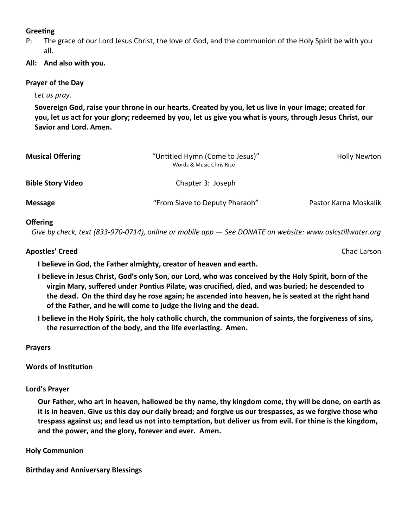# **Greeting**

P: The grace of our Lord Jesus Christ, the love of God, and the communion of the Holy Spirit be with you all.

# **All: And also with you.**

## **Prayer of the Day**

*Let us pray.*

**Sovereign God, raise your throne in our hearts. Created by you, let us live in your image; created for you, let us act for your glory; redeemed by you, let us give you what is yours, through Jesus Christ, our Savior and Lord. Amen.**

| <b>Musical Offering</b>  | "Untitled Hymn (Come to Jesus)"<br>Words & Music Chris Rice | <b>Holly Newton</b>   |
|--------------------------|-------------------------------------------------------------|-----------------------|
| <b>Bible Story Video</b> | Chapter 3: Joseph                                           |                       |
| <b>Message</b>           | "From Slave to Deputy Pharaoh"                              | Pastor Karna Moskalik |

## **Offering**

 *Give by check, text (833-970-0714), online or mobile app — See DONATE on website: www.oslcstillwater.org*

## **Apostles' Creed** Chad Larson

**I believe in God, the Father almighty, creator of heaven and earth.** 

- **I believe in Jesus Christ, God's only Son, our Lord, who was conceived by the Holy Spirit, born of the virgin Mary, suffered under Pontius Pilate, was crucified, died, and was buried; he descended to the dead. On the third day he rose again; he ascended into heaven, he is seated at the right hand of the Father, and he will come to judge the living and the dead.**
- **I believe in the Holy Spirit, the holy catholic church, the communion of saints, the forgiveness of sins, the resurrection of the body, and the life everlasting. Amen.**

**Prayers**

**Words of Institution**

**Lord's Prayer**

**Our Father, who art in heaven, hallowed be thy name, thy kingdom come, thy will be done, on earth as it is in heaven. Give us this day our daily bread; and forgive us our trespasses, as we forgive those who trespass against us; and lead us not into temptation, but deliver us from evil. For thine is the kingdom, and the power, and the glory, forever and ever. Amen.** 

## **Holy Communion**

**Birthday and Anniversary Blessings**